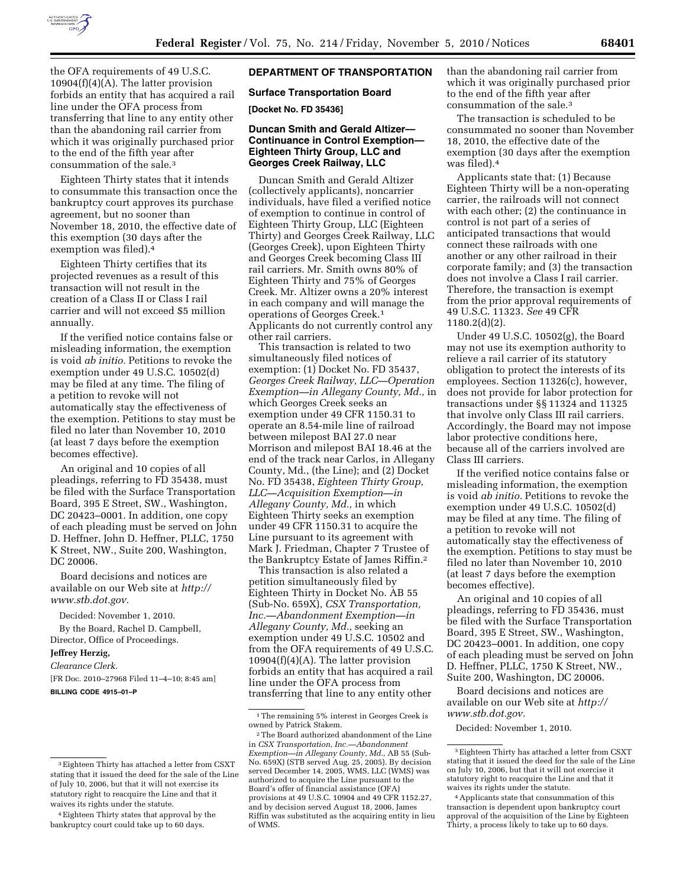

the OFA requirements of 49 U.S.C.  $10904(f)(4)(A)$ . The latter provision forbids an entity that has acquired a rail line under the OFA process from transferring that line to any entity other than the abandoning rail carrier from which it was originally purchased prior to the end of the fifth year after consummation of the sale.3

Eighteen Thirty states that it intends to consummate this transaction once the bankruptcy court approves its purchase agreement, but no sooner than November 18, 2010, the effective date of this exemption (30 days after the exemption was filed).4

Eighteen Thirty certifies that its projected revenues as a result of this transaction will not result in the creation of a Class II or Class I rail carrier and will not exceed \$5 million annually.

If the verified notice contains false or misleading information, the exemption is void *ab initio.* Petitions to revoke the exemption under 49 U.S.C. 10502(d) may be filed at any time. The filing of a petition to revoke will not automatically stay the effectiveness of the exemption. Petitions to stay must be filed no later than November 10, 2010 (at least 7 days before the exemption becomes effective).

An original and 10 copies of all pleadings, referring to FD 35438, must be filed with the Surface Transportation Board, 395 E Street, SW., Washington, DC 20423–0001. In addition, one copy of each pleading must be served on John D. Heffner, John D. Heffner, PLLC, 1750 K Street, NW., Suite 200, Washington, DC 20006.

Board decisions and notices are available on our Web site at *[http://](http://www.stb.dot.gov) [www.stb.dot.gov.](http://www.stb.dot.gov)* 

Decided: November 1, 2010. By the Board, Rachel D. Campbell, Director, Office of Proceedings.

#### **Jeffrey Herzig,**

*Clearance Clerk.* 

[FR Doc. 2010–27968 Filed 11–4–10; 8:45 am]

**BILLING CODE 4915–01–P** 

# **DEPARTMENT OF TRANSPORTATION**

### **Surface Transportation Board**

**[Docket No. FD 35436]** 

### **Duncan Smith and Gerald Altizer— Continuance in Control Exemption— Eighteen Thirty Group, LLC and Georges Creek Railway, LLC**

Duncan Smith and Gerald Altizer (collectively applicants), noncarrier individuals, have filed a verified notice of exemption to continue in control of Eighteen Thirty Group, LLC (Eighteen Thirty) and Georges Creek Railway, LLC (Georges Creek), upon Eighteen Thirty and Georges Creek becoming Class III rail carriers. Mr. Smith owns 80% of Eighteen Thirty and 75% of Georges Creek. Mr. Altizer owns a 20% interest in each company and will manage the operations of Georges Creek.1 Applicants do not currently control any other rail carriers.

This transaction is related to two simultaneously filed notices of exemption: (1) Docket No. FD 35437, *Georges Creek Railway, LLC—Operation Exemption—in Allegany County, Md.,* in which Georges Creek seeks an exemption under 49 CFR 1150.31 to operate an 8.54-mile line of railroad between milepost BAI 27.0 near Morrison and milepost BAI 18.46 at the end of the track near Carlos, in Allegany County, Md., (the Line); and (2) Docket No. FD 35438, *Eighteen Thirty Group, LLC—Acquisition Exemption—in Allegany County, Md.,* in which Eighteen Thirty seeks an exemption under 49 CFR 1150.31 to acquire the Line pursuant to its agreement with Mark J. Friedman, Chapter 7 Trustee of the Bankruptcy Estate of James Riffin.2

This transaction is also related a petition simultaneously filed by Eighteen Thirty in Docket No. AB 55 (Sub-No. 659X), *CSX Transportation, Inc.—Abandonment Exemption—in Allegany County, Md.,* seeking an exemption under 49 U.S.C. 10502 and from the OFA requirements of 49 U.S.C.  $10904(f)(4)(A)$ . The latter provision forbids an entity that has acquired a rail line under the OFA process from transferring that line to any entity other

than the abandoning rail carrier from which it was originally purchased prior to the end of the fifth year after consummation of the sale.3

The transaction is scheduled to be consummated no sooner than November 18, 2010, the effective date of the exemption (30 days after the exemption was filed).4

Applicants state that: (1) Because Eighteen Thirty will be a non-operating carrier, the railroads will not connect with each other; (2) the continuance in control is not part of a series of anticipated transactions that would connect these railroads with one another or any other railroad in their corporate family; and (3) the transaction does not involve a Class I rail carrier. Therefore, the transaction is exempt from the prior approval requirements of 49 U.S.C. 11323. *See* 49 CFR 1180.2(d)(2).

Under 49 U.S.C. 10502(g), the Board may not use its exemption authority to relieve a rail carrier of its statutory obligation to protect the interests of its employees. Section 11326(c), however, does not provide for labor protection for transactions under §§ 11324 and 11325 that involve only Class III rail carriers. Accordingly, the Board may not impose labor protective conditions here, because all of the carriers involved are Class III carriers.

If the verified notice contains false or misleading information, the exemption is void *ab initio.* Petitions to revoke the exemption under 49 U.S.C. 10502(d) may be filed at any time. The filing of a petition to revoke will not automatically stay the effectiveness of the exemption. Petitions to stay must be filed no later than November 10, 2010 (at least 7 days before the exemption becomes effective).

An original and 10 copies of all pleadings, referring to FD 35436, must be filed with the Surface Transportation Board, 395 E Street, SW., Washington, DC 20423–0001. In addition, one copy of each pleading must be served on John D. Heffner, PLLC, 1750 K Street, NW., Suite 200, Washington, DC 20006.

Board decisions and notices are available on our Web site at *[http://](http://www.stb.dot.gov) [www.stb.dot.gov.](http://www.stb.dot.gov)* 

Decided: November 1, 2010.

<sup>3</sup>Eighteen Thirty has attached a letter from CSXT stating that it issued the deed for the sale of the Line of July 10, 2006, but that it will not exercise its statutory right to reacquire the Line and that it waives its rights under the statute.

<sup>4</sup>Eighteen Thirty states that approval by the bankruptcy court could take up to 60 days.

 $^{\rm 1}\!$  The remaining 5% interest in Georges Creek is owned by Patrick Stakem.

<sup>2</sup>The Board authorized abandonment of the Line in *CSX Transportation, Inc.—Abandonment Exemption—in Allegany County, Md.,* AB 55 (Sub-No. 659X) (STB served Aug. 25, 2005). By decision served December 14, 2005, WMS, LLC (WMS) was authorized to acquire the Line pursuant to the Board's offer of financial assistance (OFA) provisions at 49 U.S.C. 10904 and 49 CFR 1152.27, and by decision served August 18, 2006, James Riffin was substituted as the acquiring entity in lieu of WMS.

<sup>3</sup>Eighteen Thirty has attached a letter from CSXT stating that it issued the deed for the sale of the Line on July 10, 2006, but that it will not exercise it statutory right to reacquire the Line and that it waives its rights under the statute.

<sup>4</sup>Applicants state that consummation of this transaction is dependent upon bankruptcy court approval of the acquisition of the Line by Eighteen Thirty, a process likely to take up to 60 days.